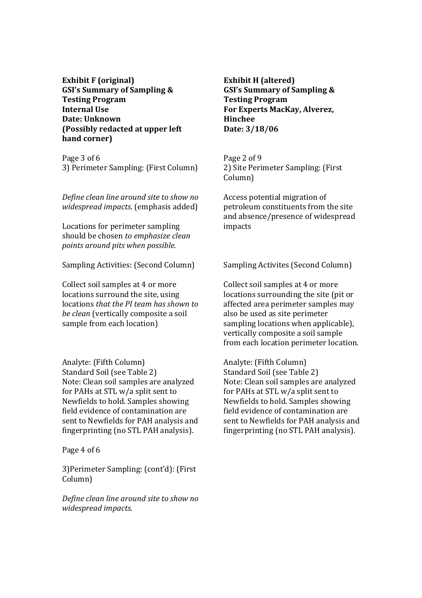**Exhibit F (original) GSI's Summary of Sampling & Testing Program Internal Use Date: Unknown (Possibly redacted at upper left hand corner)** 

Page 3 of 6 3) Perimeter Sampling: (First Column)

*Define clean line around site to show no widespread impacts*. (emphasis added)

Locations for perimeter sampling should be chosen *to emphasize clean points around pits when possible.* 

Sampling Activities: (Second Column)

Collect soil samples at 4 or more locations surround the site, using locations *that the PI team has shown to be clean* (vertically composite a soil sample from each location)

Analyte: (Fifth Column) Standard Soil (see Table 2) Note: Clean soil samples are analyzed for PAHs at STL w/a split sent to Newfields to hold. Samples showing field evidence of contamination are sent to Newfields for PAH analysis and fingerprinting (no STL PAH analysis).

Page 4 of 6

3)Perimeter Sampling: (cont'd): (First Column)

*Define clean line around site to show no widespread impacts.* 

**Exhibit H (altered) GSI's Summary of Sampling & Testing Program For Experts MacKay, Alverez, Hinchee Date: 3/18/06** 

Page 2 of 9 2) Site Perimeter Sampling: (First Column)

Access potential migration of petroleum constituents from the site and absence/presence of widespread impacts

Sampling Activites (Second Column)

Collect soil samples at 4 or more locations surrounding the site (pit or affected area perimeter samples may also be used as site perimeter sampling locations when applicable), vertically composite a soil sample from each location perimeter location.

Analyte: (Fifth Column) Standard Soil (see Table 2) Note: Clean soil samples are analyzed for PAHs at STL w/a split sent to Newfields to hold. Samples showing field evidence of contamination are sent to Newfields for PAH analysis and fingerprinting (no STL PAH analysis).